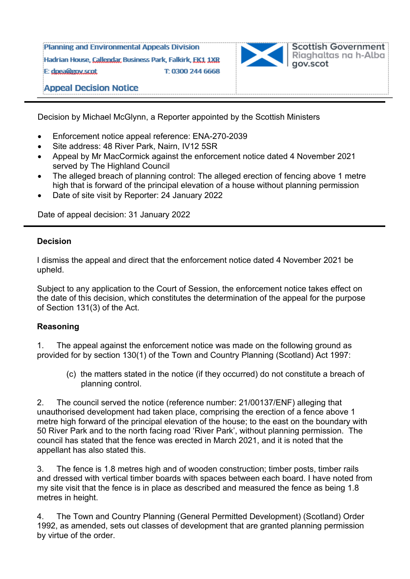Planning and Environmental Appeals Division Hadrian House, Callendar, Business Park, Falkirk, FK1, 1XR E: doea@gov.scot T: 0300 244 6668



**Appeal Decision Notice** 

Decision by Michael McGlynn, a Reporter appointed by the Scottish Ministers

- Enforcement notice appeal reference: ENA-270-2039
- Site address: 48 River Park, Nairn, IV12 5SR
- Appeal by Mr MacCormick against the enforcement notice dated 4 November 2021 served by The Highland Council
- The alleged breach of planning control: The alleged erection of fencing above 1 metre high that is forward of the principal elevation of a house without planning permission
- Date of site visit by Reporter: 24 January 2022

Date of appeal decision: 31 January 2022

## **Decision**

I dismiss the appeal and direct that the enforcement notice dated 4 November 2021 be upheld.

Subject to any application to the Court of Session, the enforcement notice takes effect on the date of this decision, which constitutes the determination of the appeal for the purpose of Section 131(3) of the Act.

## **Reasoning**

1. The appeal against the enforcement notice was made on the following ground as provided for by section 130(1) of the Town and Country Planning (Scotland) Act 1997:

 (c) the matters stated in the notice (if they occurred) do not constitute a breach of planning control.

2. The council served the notice (reference number: 21/00137/ENF) alleging that unauthorised development had taken place, comprising the erection of a fence above 1 metre high forward of the principal elevation of the house; to the east on the boundary with 50 River Park and to the north facing road 'River Park', without planning permission. The council has stated that the fence was erected in March 2021, and it is noted that the appellant has also stated this.

3. The fence is 1.8 metres high and of wooden construction; timber posts, timber rails and dressed with vertical timber boards with spaces between each board. I have noted from my site visit that the fence is in place as described and measured the fence as being 1.8 metres in height.

4. The Town and Country Planning (General Permitted Development) (Scotland) Order 1992, as amended, sets out classes of development that are granted planning permission by virtue of the order.